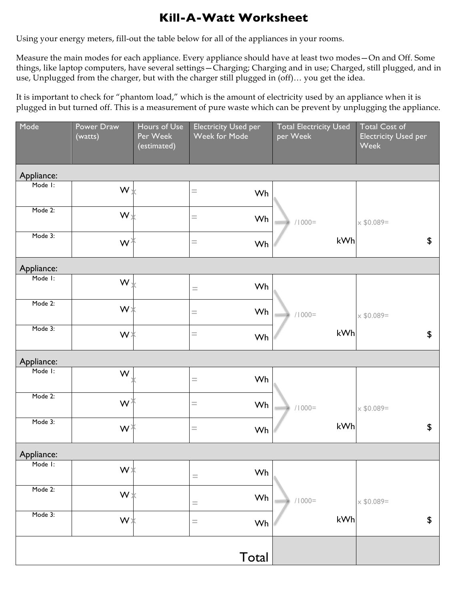## **Kill-A-Watt Worksheet**

Using your energy meters, fill-out the table below for all of the appliances in your rooms.

Measure the main modes for each appliance. Every appliance should have at least two modes—On and Off. Some things, like laptop computers, have several settings—Charging; Charging and in use; Charged, still plugged, and in use, Unplugged from the charger, but with the charger still plugged in (off)… you get the idea.

It is important to check for "phantom load," which is the amount of electricity used by an appliance when it is plugged in but turned off. This is a measurement of pure waste which can be prevent by unplugging the appliance.

| Mode       | Power Draw<br>(watts) | Hours of Use<br>Per Week<br>(estimated) | <b>Electricity Used per</b><br>Week for Mode | <b>Total Electricity Used</b><br>per Week | <b>Total Cost of</b><br><b>Electricity Used per</b><br><b>Week</b> |
|------------|-----------------------|-----------------------------------------|----------------------------------------------|-------------------------------------------|--------------------------------------------------------------------|
| Appliance: |                       |                                         |                                              |                                           |                                                                    |
| Mode I:    | $W \times$            |                                         | $=$<br>Wh                                    |                                           |                                                                    |
| Mode 2:    | $W_{X}$               |                                         | $=$<br>Wh                                    | $/1000 =$                                 | $\times$ \$0.089=                                                  |
| Mode 3:    | WĂ                    |                                         | $\hspace{1.6cm} = \hspace{1.6cm}$<br>Wh      | kWh                                       | $\boldsymbol{\mathsf{S}}$                                          |
| Appliance: |                       |                                         |                                              |                                           |                                                                    |
| Mode I:    | $W_{\lambda}$         |                                         | Wh<br>$\hspace{1.0cm} = \hspace{1.0cm}$      |                                           |                                                                    |
| Mode 2:    | $W\chi$               |                                         | Wh<br>$=$                                    | $/1000 =$                                 | $\times$ \$0.089=                                                  |
| Mode 3:    | WX                    |                                         | $=$<br>Wh                                    | kWh                                       | \$                                                                 |
| Appliance: |                       |                                         |                                              |                                           |                                                                    |
| Mode I:    | W                     |                                         | Wh<br>$\equiv$                               |                                           |                                                                    |
| Mode 2:    | $W^{\lambda}$         |                                         | Wh<br>$=$                                    | $/1000 =$                                 | $\times$ \$0.089=                                                  |
| Mode 3:    | W≯                    |                                         | $\hspace{1.6cm} = \hspace{1.6cm}$<br>Wh      | kWh                                       | $\boldsymbol{\mathsf{S}}$                                          |
| Appliance: |                       |                                         |                                              |                                           |                                                                    |
| Mode I:    | $W*$                  |                                         | Wh<br>$\quad =$                              |                                           |                                                                    |
| Mode 2:    | W                     |                                         | Wh<br>$=$                                    | $/1000 =$                                 | $\times$ \$0.089=                                                  |
| Mode 3:    | W∗                    |                                         | $=$<br>Wh                                    | kWh                                       | \$                                                                 |
|            |                       |                                         | Total                                        |                                           |                                                                    |